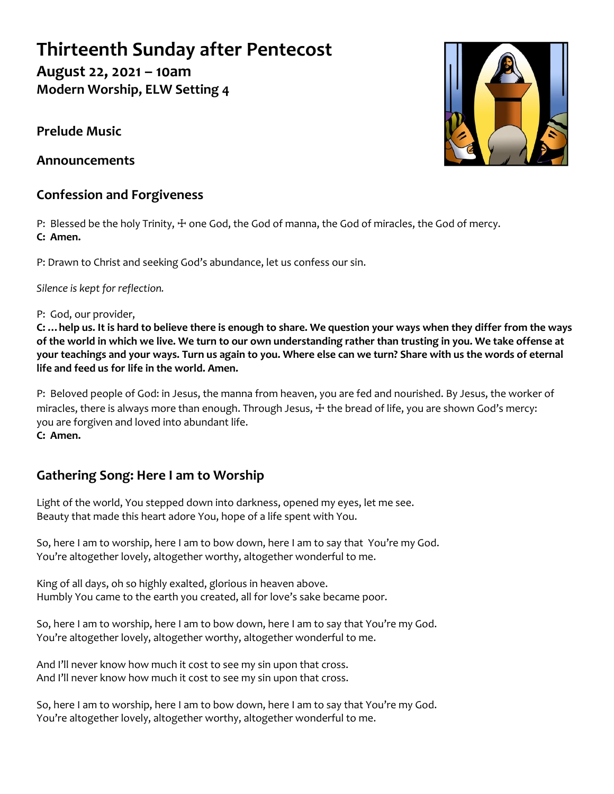# **Thirteenth Sunday after Pentecost**

**August 22, 2021 – 10am Modern Worship, ELW Setting 4**

**Prelude Music**

**Announcements**

## **Confession and Forgiveness**

P: Blessed be the holy Trinity,  $\pm$  one God, the God of manna, the God of miracles, the God of mercy. **C: Amen.**

P: Drawn to Christ and seeking God's abundance, let us confess our sin.

*Silence is kept for reflection.*

### P: God, our provider,

**C: …help us. It is hard to believe there is enough to share. We question your ways when they differ from the ways of the world in which we live. We turn to our own understanding rather than trusting in you. We take offense at your teachings and your ways. Turn us again to you. Where else can we turn? Share with us the words of eternal life and feed us for life in the world. Amen.**

P: Beloved people of God: in Jesus, the manna from heaven, you are fed and nourished. By Jesus, the worker of miracles, there is always more than enough. Through Jesus,  $\pm$  the bread of life, you are shown God's mercy: you are forgiven and loved into abundant life. **C: Amen.**

## **Gathering Song: Here I am to Worship**

Light of the world, You stepped down into darkness, opened my eyes, let me see. Beauty that made this heart adore You, hope of a life spent with You.

So, here I am to worship, here I am to bow down, here I am to say that You're my God. You're altogether lovely, altogether worthy, altogether wonderful to me.

King of all days, oh so highly exalted, glorious in heaven above. Humbly You came to the earth you created, all for love's sake became poor.

So, here I am to worship, here I am to bow down, here I am to say that You're my God. You're altogether lovely, altogether worthy, altogether wonderful to me.

And I'll never know how much it cost to see my sin upon that cross. And I'll never know how much it cost to see my sin upon that cross.

So, here I am to worship, here I am to bow down, here I am to say that You're my God. You're altogether lovely, altogether worthy, altogether wonderful to me.

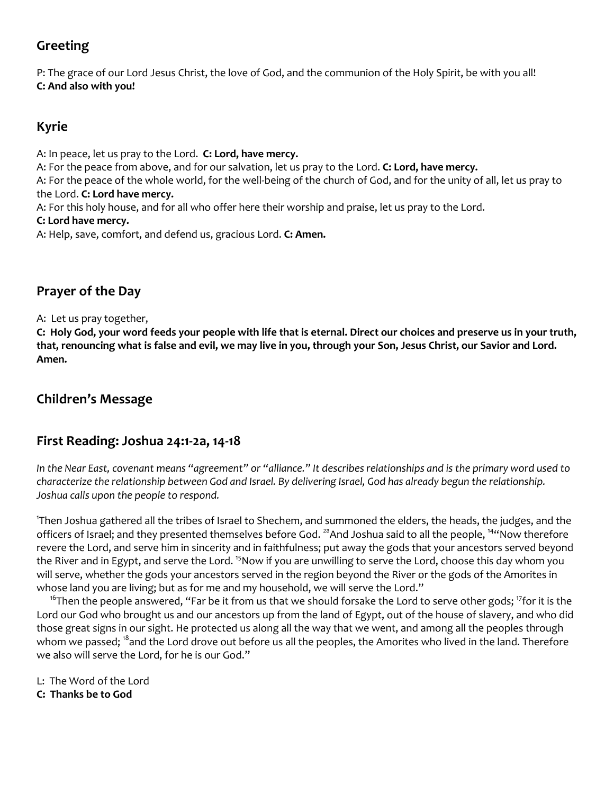## **Greeting**

P: The grace of our Lord Jesus Christ, the love of God, and the communion of the Holy Spirit, be with you all! **C: And also with you!**

## **Kyrie**

A: In peace, let us pray to the Lord. **C: Lord, have mercy.**

A: For the peace from above, and for our salvation, let us pray to the Lord. **C: Lord, have mercy.**

A: For the peace of the whole world, for the well-being of the church of God, and for the unity of all, let us pray to the Lord. **C: Lord have mercy.**

A: For this holy house, and for all who offer here their worship and praise, let us pray to the Lord.

#### **C: Lord have mercy.**

A: Help, save, comfort, and defend us, gracious Lord. **C: Amen.**

## **Prayer of the Day**

A: Let us pray together,

**C: Holy God, your word feeds your people with life that is eternal. Direct our choices and preserve us in your truth, that, renouncing what is false and evil, we may live in you, through your Son, Jesus Christ, our Savior and Lord. Amen.**

## **Children's Message**

### **First Reading: Joshua 24:1-2a, 14-18**

*In the Near East, covenant means "agreement" or "alliance." It describes relationships and is the primary word used to characterize the relationship between God and Israel. By delivering Israel, God has already begun the relationship. Joshua calls upon the people to respond.*

1 Then Joshua gathered all the tribes of Israel to Shechem, and summoned the elders, the heads, the judges, and the officers of Israel; and they presented themselves before God. <sup>2a</sup>And Joshua said to all the people, <sup>14</sup> Now therefore revere the Lord, and serve him in sincerity and in faithfulness; put away the gods that your ancestors served beyond the River and in Egypt, and serve the Lord. <sup>15</sup>Now if you are unwilling to serve the Lord, choose this day whom you will serve, whether the gods your ancestors served in the region beyond the River or the gods of the Amorites in whose land you are living; but as for me and my household, we will serve the Lord."

<sup>16</sup>Then the people answered, "Far be it from us that we should forsake the Lord to serve other gods; <sup>17</sup>for it is the Lord our God who brought us and our ancestors up from the land of Egypt, out of the house of slavery, and who did those great signs in our sight. He protected us along all the way that we went, and among all the peoples through whom we passed; <sup>18</sup>and the Lord drove out before us all the peoples, the Amorites who lived in the land. Therefore we also will serve the Lord, for he is our God."

L: The Word of the Lord

**C: Thanks be to God**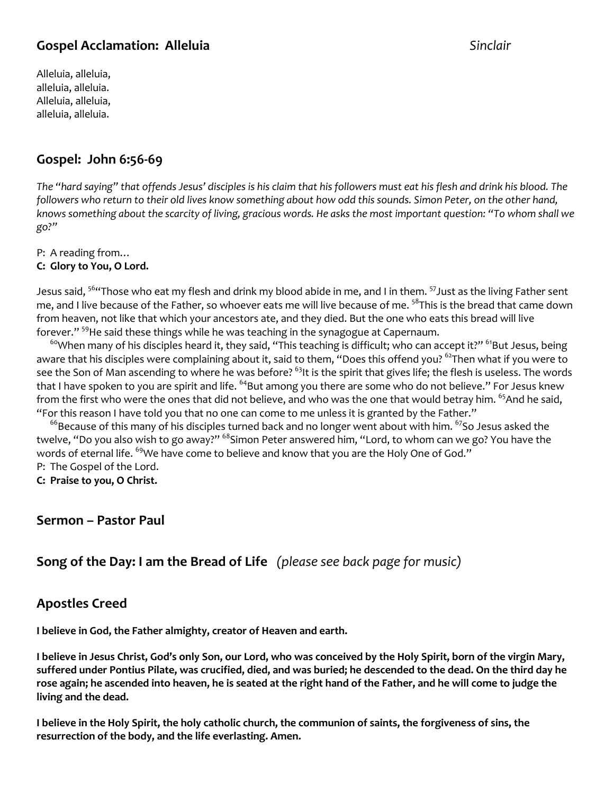### **Gospel Acclamation: Alleluia** *Sinclair*

Alleluia, alleluia, alleluia, alleluia. Alleluia, alleluia, alleluia, alleluia.

## **Gospel: John 6:56-69**

*The "hard saying" that offends Jesus' disciples is his claim that his followers must eat his flesh and drink his blood. The followers who return to their old lives know something about how odd this sounds. Simon Peter, on the other hand, knows something about the scarcity of living, gracious words. He asks the most important question: "To whom shall we go?"*

P: A reading from…

#### **C: Glory to You, O Lord.**

Jesus said, <sup>56</sup>"Those who eat my flesh and drink my blood abide in me, and I in them. <sup>57</sup>Just as the living Father sent me, and I live because of the Father, so whoever eats me will live because of me. <sup>58</sup>This is the bread that came down from heaven, not like that which your ancestors ate, and they died. But the one who eats this bread will live forever." <sup>59</sup>He said these things while he was teaching in the synagogue at Capernaum.

 $60$ When many of his disciples heard it, they said, "This teaching is difficult; who can accept it?"  $61$ But Jesus, being aware that his disciples were complaining about it, said to them, "Does this offend you? <sup>62</sup>Then what if you were to see the Son of Man ascending to where he was before? <sup>63</sup>It is the spirit that gives life; the flesh is useless. The words that I have spoken to you are spirit and life. <sup>64</sup>But among you there are some who do not believe." For Jesus knew from the first who were the ones that did not believe, and who was the one that would betray him. <sup>65</sup>And he said, "For this reason I have told you that no one can come to me unless it is granted by the Father."

 $66$ Because of this many of his disciples turned back and no longer went about with him.  $67$ So Jesus asked the twelve, "Do you also wish to go away?" <sup>68</sup>Simon Peter answered him, "Lord, to whom can we go? You have the words of eternal life. <sup>69</sup>We have come to believe and know that you are the Holy One of God." P: The Gospel of the Lord.

**C: Praise to you, O Christ.**

#### **Sermon – Pastor Paul**

### **Song of the Day: I am the Bread of Life** *(please see back page for music)*

#### **Apostles Creed**

**I believe in God, the Father almighty, creator of Heaven and earth.** 

**I believe in Jesus Christ, God's only Son, our Lord, who was conceived by the Holy Spirit, born of the virgin Mary, suffered under Pontius Pilate, was crucified, died, and was buried; he descended to the dead. On the third day he rose again; he ascended into heaven, he is seated at the right hand of the Father, and he will come to judge the living and the dead.**

**I believe in the Holy Spirit, the holy catholic church, the communion of saints, the forgiveness of sins, the resurrection of the body, and the life everlasting. Amen.**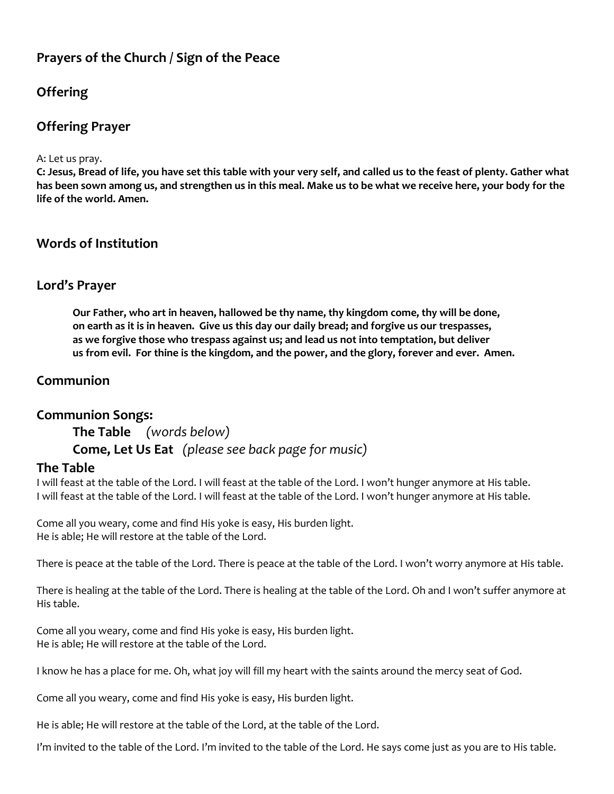### **Prayers of the Church / Sign of the Peace**

## **Offering**

### **Offering Prayer**

A: Let us pray.

**C: Jesus, Bread of life, you have set this table with your very self, and called us to the feast of plenty. Gather what has been sown among us, and strengthen us in this meal. Make us to be what we receive here, your body for the life of the world. Amen.**

#### **Words of Institution**

#### **Lord's Prayer**

**Our Father, who art in heaven, hallowed be thy name, thy kingdom come, thy will be done, on earth as it is in heaven. Give us this day our daily bread; and forgive us our trespasses, as we forgive those who trespass against us; and lead us not into temptation, but deliver us from evil. For thine is the kingdom, and the power, and the glory, forever and ever. Amen.**

### **Communion**

#### **Communion Songs:**

**The Table** *(words below)* **Come, Let Us Eat** *(please see back page for music)*

#### **The Table**

I will feast at the table of the Lord. I will feast at the table of the Lord. I won't hunger anymore at His table. I will feast at the table of the Lord. I will feast at the table of the Lord. I won't hunger anymore at His table.

Come all you weary, come and find His yoke is easy, His burden light. He is able; He will restore at the table of the Lord.

There is peace at the table of the Lord. There is peace at the table of the Lord. I won't worry anymore at His table.

There is healing at the table of the Lord. There is healing at the table of the Lord. Oh and I won't suffer anymore at His table.

Come all you weary, come and find His yoke is easy, His burden light. He is able; He will restore at the table of the Lord.

I know he has a place for me. Oh, what joy will fill my heart with the saints around the mercy seat of God.

Come all you weary, come and find His yoke is easy, His burden light.

He is able; He will restore at the table of the Lord, at the table of the Lord.

I'm invited to the table of the Lord. I'm invited to the table of the Lord. He says come just as you are to His table.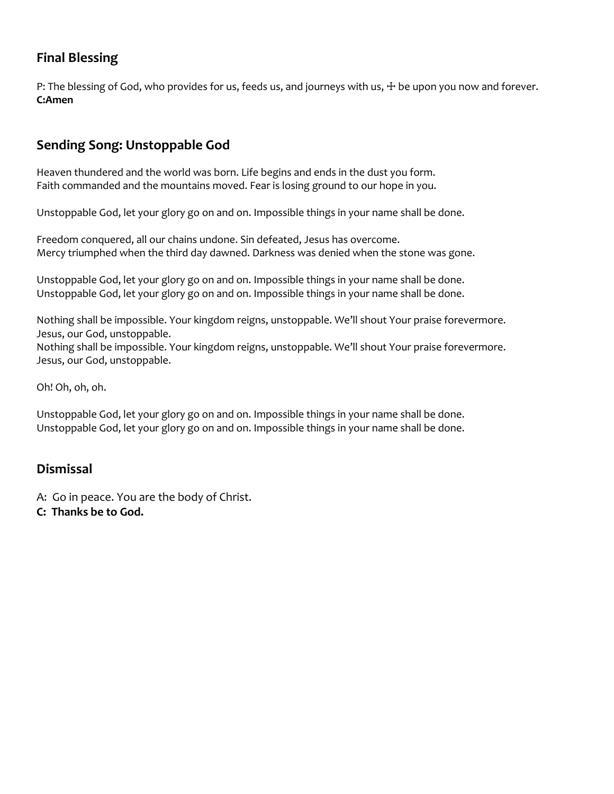## **Final Blessing**

P: The blessing of God, who provides for us, feeds us, and journeys with us,  $∔$  be upon you now and forever. **C:Amen**

## **Sending Song: Unstoppable God**

Heaven thundered and the world was born. Life begins and ends in the dust you form. Faith commanded and the mountains moved. Fear is losing ground to our hope in you.

Unstoppable God, let your glory go on and on. Impossible things in your name shall be done.

Freedom conquered, all our chains undone. Sin defeated, Jesus has overcome. Mercy triumphed when the third day dawned. Darkness was denied when the stone was gone.

Unstoppable God, let your glory go on and on. Impossible things in your name shall be done. Unstoppable God, let your glory go on and on. Impossible things in your name shall be done.

Nothing shall be impossible. Your kingdom reigns, unstoppable. We'll shout Your praise forevermore. Jesus, our God, unstoppable.

Nothing shall be impossible. Your kingdom reigns, unstoppable. We'll shout Your praise forevermore. Jesus, our God, unstoppable.

Oh! Oh, oh, oh.

Unstoppable God, let your glory go on and on. Impossible things in your name shall be done. Unstoppable God, let your glory go on and on. Impossible things in your name shall be done.

#### **Dismissal**

A: Go in peace. You are the body of Christ.

**C: Thanks be to God.**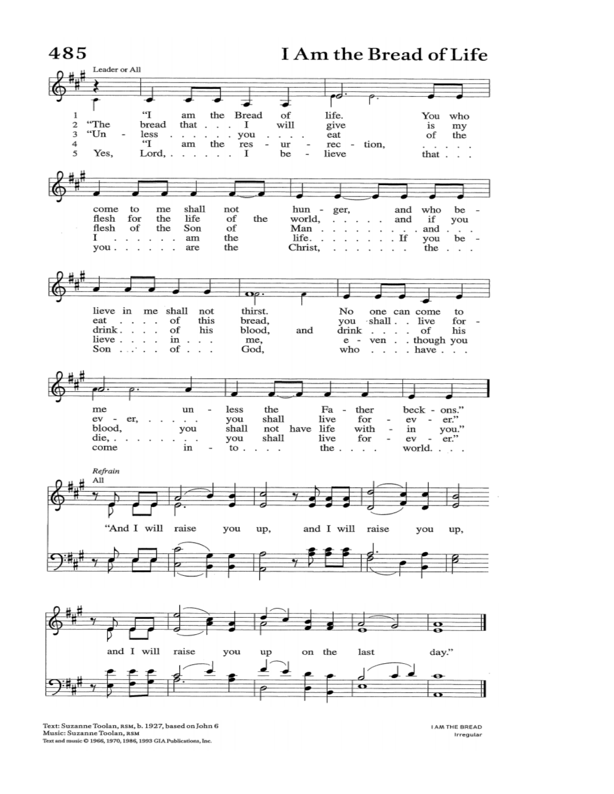

Text: Suzanne Toolan, RSM, b. 1927, based on John 6 Music: Suzanne Toolan, RSM Text and music  $O$  1966, 1970, 1986, 1993 GIA Publications, Inc.

**JAM THE BREAD** Irregular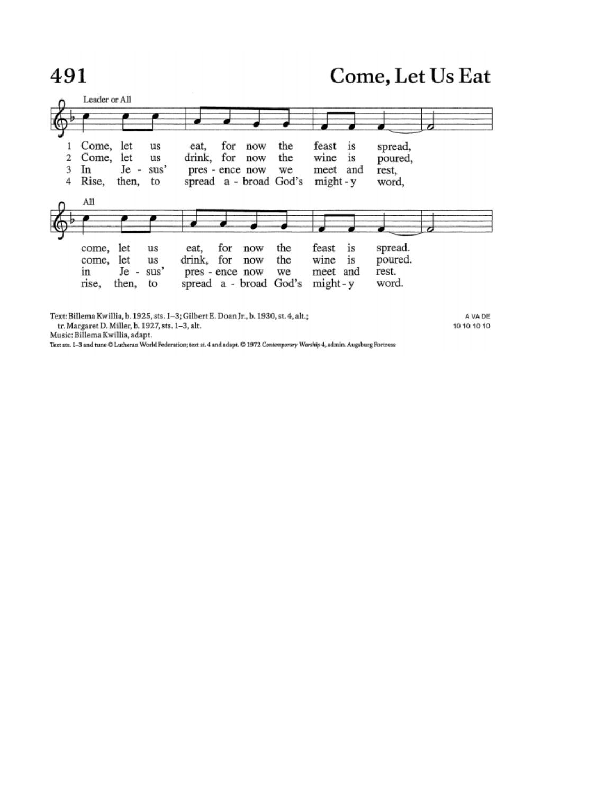# 491

# Come, Let Us Eat



Text: Billema Kwillia, b. 1925, sts. 1-3; Gilbert E. Doan Jr., b. 1930, st. 4, alt.; tr. Margaret D. Miller, b. 1927, sts. 1-3, alt.

A VA DE 10 10 10 10

Music: Billema Kwillia, adapt.

Text sts. I-3 and tune C Lutheran World Federation; text st. 4 and adapt. C 1972 Contemporary Worship 4, admin. Augsburg Fortress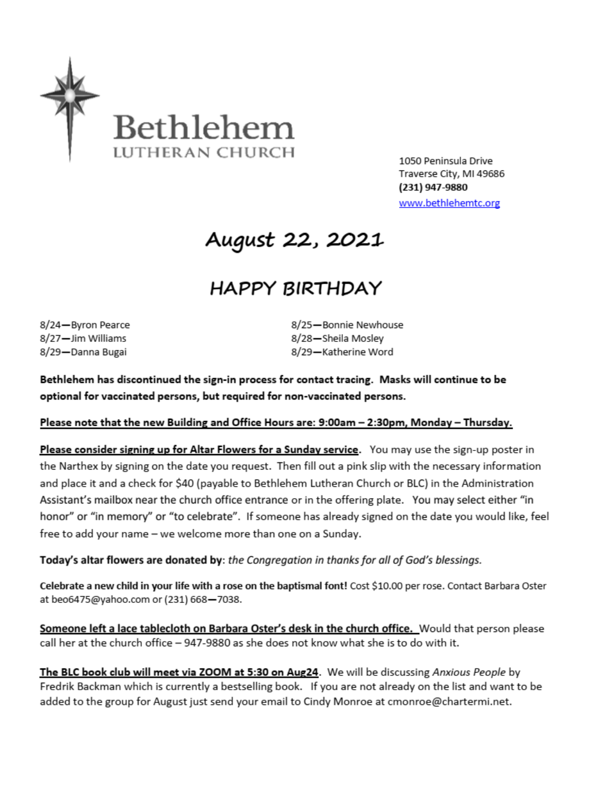

1050 Peninsula Drive Traverse City, MI 49686 (231) 947-9880 www.bethlehemtc.org

# August 22, 2021

# **HAPPY BIRTHDAY**

8/24-Byron Pearce 8/27-Jim Williams 8/29-Danna Bugai

8/25-Bonnie Newhouse 8/28-Sheila Mosley 8/29-Katherine Word

Bethlehem has discontinued the sign-in process for contact tracing. Masks will continue to be optional for vaccinated persons, but required for non-vaccinated persons.

#### Please note that the new Building and Office Hours are: 9:00am - 2:30pm, Monday - Thursday.

Please consider signing up for Altar Flowers for a Sunday service. You may use the sign-up poster in the Narthex by signing on the date you request. Then fill out a pink slip with the necessary information and place it and a check for \$40 (payable to Bethlehem Lutheran Church or BLC) in the Administration Assistant's mailbox near the church office entrance or in the offering plate. You may select either "in honor" or "in memory" or "to celebrate". If someone has already signed on the date you would like, feel free to add your name - we welcome more than one on a Sunday.

Today's altar flowers are donated by: the Congregation in thanks for all of God's blessings.

Celebrate a new child in your life with a rose on the baptismal font! Cost \$10.00 per rose. Contact Barbara Oster at beo6475@yahoo.com or (231) 668-7038.

Someone left a lace tablecloth on Barbara Oster's desk in the church office. Would that person please call her at the church office - 947-9880 as she does not know what she is to do with it.

The BLC book club will meet via ZOOM at 5:30 on Aug24. We will be discussing Anxious People by Fredrik Backman which is currently a bestselling book. If you are not already on the list and want to be added to the group for August just send your email to Cindy Monroe at cmonroe@chartermi.net.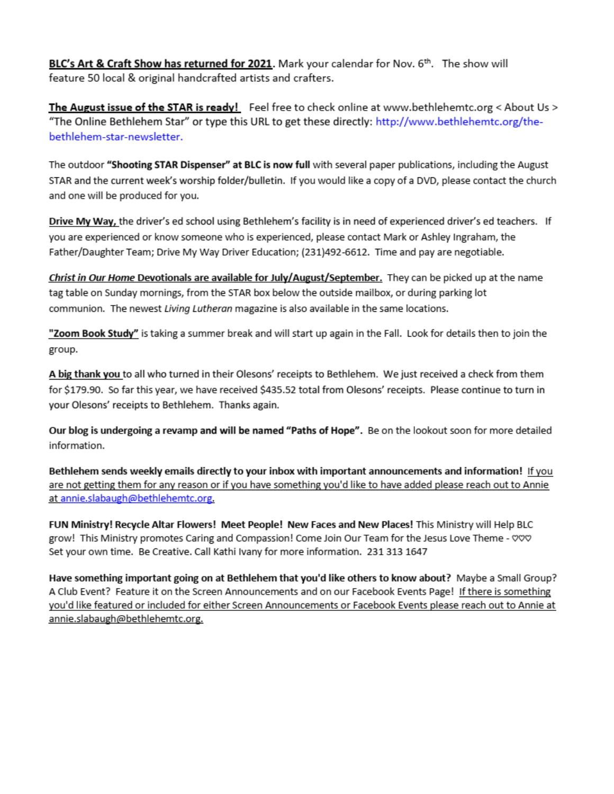BLC's Art & Craft Show has returned for 2021. Mark your calendar for Nov. 6th. The show will feature 50 local & original handcrafted artists and crafters.

The August issue of the STAR is ready! Feel free to check online at www.bethlehemtc.org < About Us > "The Online Bethlehem Star" or type this URL to get these directly: http://www.bethlehemtc.org/thebethlehem-star-newsletter.

The outdoor "Shooting STAR Dispenser" at BLC is now full with several paper publications, including the August STAR and the current week's worship folder/bulletin. If you would like a copy of a DVD, please contact the church and one will be produced for you.

Drive My Way, the driver's ed school using Bethlehem's facility is in need of experienced driver's ed teachers. If you are experienced or know someone who is experienced, please contact Mark or Ashley Ingraham, the Father/Daughter Team; Drive My Way Driver Education; (231)492-6612. Time and pay are negotiable.

Christ in Our Home Devotionals are available for July/August/September. They can be picked up at the name tag table on Sunday mornings, from the STAR box below the outside mailbox, or during parking lot communion. The newest Living Lutheran magazine is also available in the same locations.

"Zoom Book Study" is taking a summer break and will start up again in the Fall. Look for details then to join the group.

A big thank you to all who turned in their Olesons' receipts to Bethlehem. We just received a check from them for \$179.90. So far this year, we have received \$435.52 total from Olesons' receipts. Please continue to turn in your Olesons' receipts to Bethlehem. Thanks again.

Our blog is undergoing a revamp and will be named "Paths of Hope". Be on the lookout soon for more detailed information.

Bethlehem sends weekly emails directly to your inbox with important announcements and information! If you are not getting them for any reason or if you have something you'd like to have added please reach out to Annie at annie.slabaugh@bethlehemtc.org.

FUN Ministry! Recycle Altar Flowers! Meet People! New Faces and New Places! This Ministry will Help BLC grow! This Ministry promotes Caring and Compassion! Come Join Our Team for the Jesus Love Theme - VVV Set your own time. Be Creative. Call Kathi Ivany for more information. 231 313 1647

Have something important going on at Bethlehem that you'd like others to know about? Maybe a Small Group? A Club Event? Feature it on the Screen Announcements and on our Facebook Events Page! If there is something you'd like featured or included for either Screen Announcements or Facebook Events please reach out to Annie at annie.slabaugh@bethlehemtc.org.